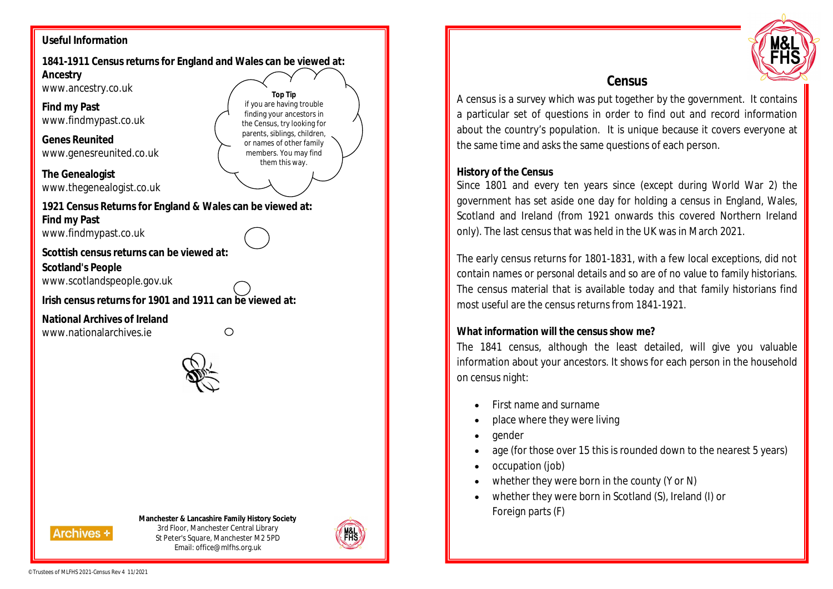## **Useful Information**

**1841-1911 Census returns for England and Wales can be viewed at: Ancestry**  www.ancestry.co.uk **Top Tip** if you are having trouble **Find my Past** finding your ancestors in www.findmypast.co.uk the Census, try looking for parents, siblings, children, **Genes Reunited**  or names of other family www.genesreunited.co.uk members. You may find them this way. **The Genealogist** www.thegenealogist.co.uk **1921 Census Returns for England & Wales can be viewed at: Find my Past** www.findmypast.co.uk **Scottish census returns can be viewed at: Scotland's People** www.scotlandspeople.gov.uk **Irish census returns for 1901 and 1911 can be viewed at: National Archives of Ireland** www.nationalarchives.ie  $\circ$ 

#### **Manchester & Lancashire Family History Society**

**Archives +** 

3rd Floor, Manchester Central Library St Peter's Square, Manchester M2 5PD Email: office@mlfhs.org.uk





# **Census**

A census is a survey which was put together by the government. It contains a particular set of questions in order to find out and record information about the country's population. It is unique because it covers everyone at the same time and asks the same questions of each person.

#### **History of the Census**

Since 1801 and every ten years since (except during World War 2) the government has set aside one day for holding a census in England, Wales, Scotland and Ireland (from 1921 onwards this covered Northern Ireland only). The last census that was held in the UK was in March 2021.

The early census returns for 1801-1831, with a few local exceptions, did not contain names or personal details and so are of no value to family historians. The census material that is available today and that family historians find most useful are the census returns from 1841-1921.

### **What information will the census show me?**

The 1841 census, although the least detailed, will give you valuable information about your ancestors. It shows for each person in the household on census night:

- First name and surname
- place where they were living
- gender
- age (for those over 15 this is rounded down to the nearest 5 years)
- occupation (job)
- whether they were born in the county (Y or N)
- whether they were born in Scotland (S), Ireland (I) or Foreign parts (F)

©Trustees of MLFHS 2021-Census Rev 4 11/2021